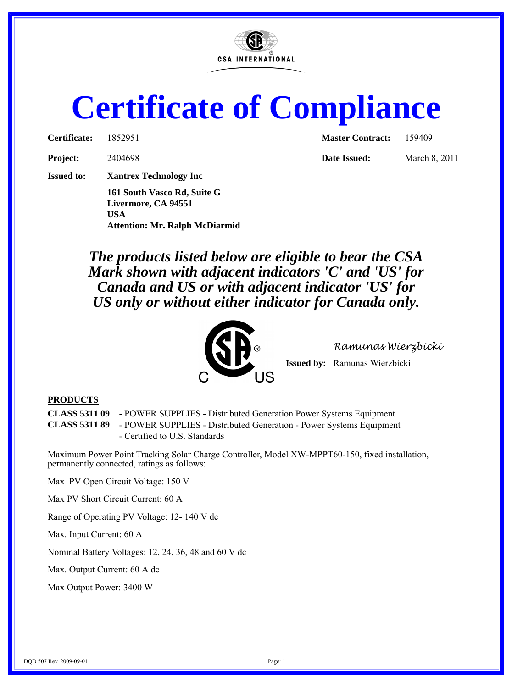

## **Certificate of Compliance**

| Certificate: | 1852951 |
|--------------|---------|
|--------------|---------|

**Project:** 2404698 **Date Issued:** March 8, 2011

**Issued to: Xantrex Technology Inc**

**161 South Vasco Rd, Suite G Livermore, CA 94551 USA Attention: Mr. Ralph McDiarmid** **Master Contract:** 159409

*The products listed below are eligible to bear the CSA Mark shown with adjacent indicators 'C' and 'US' for Canada and US or with adjacent indicator 'US' for US only or without either indicator for Canada only.*



*Ramunas Wierzbicki*

**Issued by:** Ramunas Wierzbicki

## **PRODUCTS**

**CLASS 5311 09** - POWER SUPPLIES - Distributed Generation Power Systems Equipment

**CLASS 5311 89** - POWER SUPPLIES - Distributed Generation - Power Systems Equipment - Certified to U.S. Standards

Maximum Power Point Tracking Solar Charge Controller, Model XW-MPPT60-150, fixed installation, permanently connected, ratings as follows:

Max PV Open Circuit Voltage: 150 V

Max PV Short Circuit Current: 60 A

Range of Operating PV Voltage: 12- 140 V dc

Max. Input Current: 60 A

Nominal Battery Voltages: 12, 24, 36, 48 and 60 V dc

Max. Output Current: 60 A dc

Max Output Power: 3400 W